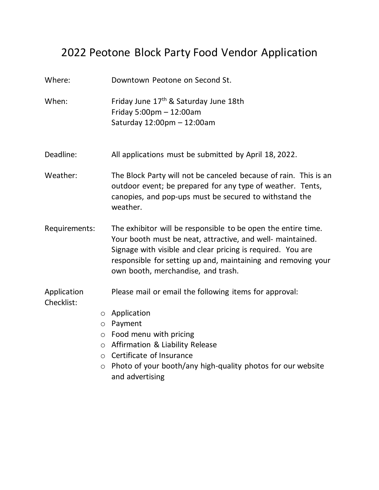## 2022 Peotone Block Party Food Vendor Application

Where: Downtown Peotone on Second St. When: Friday June 17<sup>th</sup> & Saturday June 18th Friday 5:00pm – 12:00am Saturday 12:00pm – 12:00am Deadline: All applications must be submitted by April 18, 2022. Weather: The Block Party will not be canceled because of rain. This is an outdoor event; be prepared for any type of weather. Tents, canopies, and pop-ups must be secured to withstand the weather. Requirements: The exhibitor will be responsible to be open the entire time. Your booth must be neat, attractive, and well- maintained. Signage with visible and clear pricing is required. You are responsible for setting up and, maintaining and removing your own booth, merchandise, and trash. Application Please mail or email the following items for approval: Checklist: o Application o Payment o Food menu with pricing o Affirmation & Liability Release o Certificate of Insurance o Photo of your booth/any high-quality photos for our website and advertising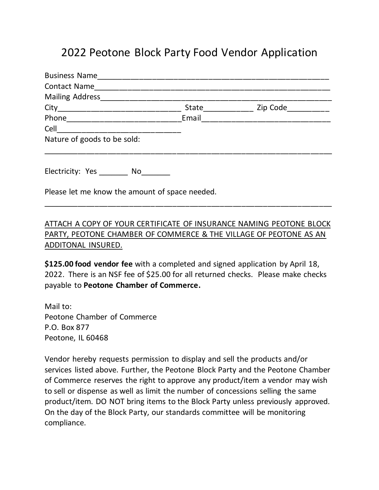## 2022 Peotone Block Party Food Vendor Application

| <b>Business Name</b>                           |       |          |  |
|------------------------------------------------|-------|----------|--|
| <b>Contact Name</b>                            |       |          |  |
| Mailing Address                                |       |          |  |
|                                                | State | Zip Code |  |
|                                                | Email |          |  |
| Cell _________________________                 |       |          |  |
| Nature of goods to be sold:                    |       |          |  |
| Electricity: Yes ________ No____               |       |          |  |
| Please let me know the amount of space needed. |       |          |  |

### ATTACH A COPY OF YOUR CERTIFICATE OF INSURANCE NAMING PEOTONE BLOCK PARTY, PEOTONE CHAMBER OF COMMERCE & THE VILLAGE OF PEOTONE AS AN ADDITONAL INSURED.

\_\_\_\_\_\_\_\_\_\_\_\_\_\_\_\_\_\_\_\_\_\_\_\_\_\_\_\_\_\_\_\_\_\_\_\_\_\_\_\_\_\_\_\_\_\_\_\_\_\_\_\_\_\_\_\_\_\_\_\_\_\_\_\_\_\_\_

**\$125.00 food vendor fee** with a completed and signed application by April 18, 2022. There is an NSF fee of \$25.00 for all returned checks. Please make checks payable to **Peotone Chamber of Commerce.** 

Mail to: Peotone Chamber of Commerce P.O. Box 877 Peotone, IL 60468

Vendor hereby requests permission to display and sell the products and/or services listed above. Further, the Peotone Block Party and the Peotone Chamber of Commerce reserves the right to approve any product/item a vendor may wish to sell or dispense as well as limit the number of concessions selling the same product/item. DO NOT bring items to the Block Party unless previously approved. On the day of the Block Party, our standards committee will be monitoring compliance.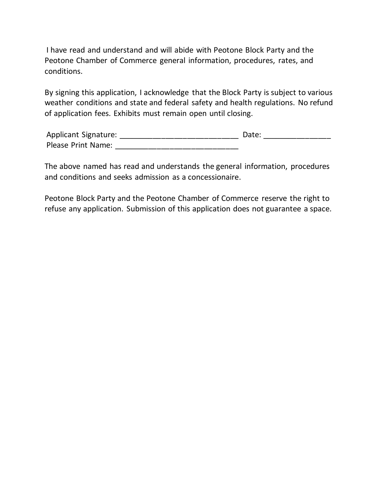I have read and understand and will abide with Peotone Block Party and the Peotone Chamber of Commerce general information, procedures, rates, and conditions.

By signing this application, I acknowledge that the Block Party is subject to various weather conditions and state and federal safety and health regulations. No refund of application fees. Exhibits must remain open until closing.

| Applicant Signature:      | Date: |  |
|---------------------------|-------|--|
| <b>Please Print Name:</b> |       |  |

The above named has read and understands the general information, procedures and conditions and seeks admission as a concessionaire.

Peotone Block Party and the Peotone Chamber of Commerce reserve the right to refuse any application. Submission of this application does not guarantee a space.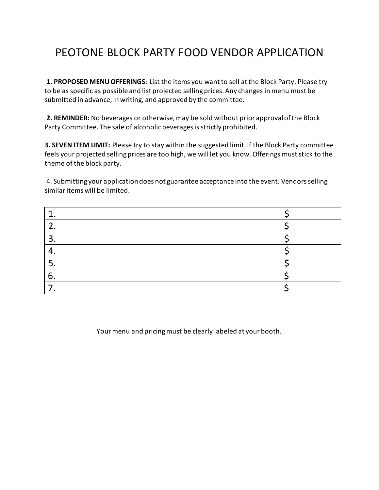# PEOTONE BLOCK PARTY FOOD VENDOR APPLICATION

**1. PROPOSED MENU OFFERINGS:** List the items you want to sell at the Block Party. Please try to be as specific as possible and list projected selling prices. Any changes in menu must be submitted in advance, in writing, and approved by the committee.

**2. REMINDER:** No beverages or otherwise, may be sold without prior approval of the Block Party Committee. The sale of alcoholic beverages is strictly prohibited.

**3. SEVEN ITEM LIMIT:** Please try to stay within the suggested limit. If the Block Party committee feels your projected selling prices are too high, we will let you know. Offerings must stick to the theme of the block party.

4. Submitting your application does not guarantee acceptance into the event. Vendors selling similar items will be limited.

| ┑  |  |
|----|--|
|    |  |
|    |  |
| b. |  |
|    |  |

Your menu and pricing must be clearly labeled at your booth.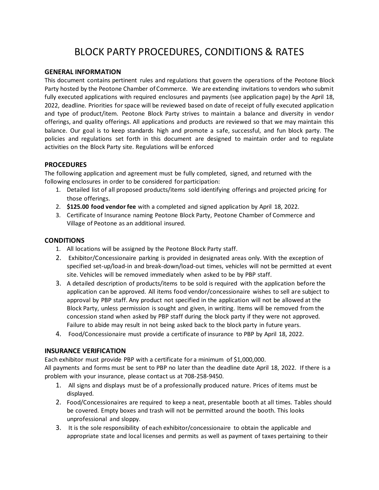### BLOCK PARTY PROCEDURES, CONDITIONS & RATES

#### **GENERAL INFORMATION**

This document contains pertinent rules and regulations that govern the operations of the Peotone Block Party hosted by the Peotone Chamber of Commerce. We are extending invitations to vendors who submit fully executed applications with required enclosures and payments (see application page) by the April 18, 2022, deadline. Priorities for space will be reviewed based on date of receipt of fully executed application and type of product/item. Peotone Block Party strives to maintain a balance and diversity in vendor offerings, and quality offerings. All applications and products are reviewed so that we may maintain this balance. Our goal is to keep standards high and promote a safe, successful, and fun block party. The policies and regulations set forth in this document are designed to maintain order and to regulate activities on the Block Party site. Regulations will be enforced

#### **PROCEDURES**

The following application and agreement must be fully completed, signed, and returned with the following enclosures in order to be considered for participation:

- 1. Detailed list of all proposed products/items sold identifying offerings and projected pricing for those offerings.
- 2. **\$125.00 food vendor fee** with a completed and signed application by April 18, 2022.
- 3. Certificate of Insurance naming Peotone Block Party, Peotone Chamber of Commerce and Village of Peotone as an additional insured.

#### **CONDITIONS**

- 1. All locations will be assigned by the Peotone Block Party staff.
- 2. Exhibitor/Concessionaire parking is provided in designated areas only. With the exception of specified set-up/load-in and break-down/load-out times, vehicles will not be permitted at event site. Vehicles will be removed immediately when asked to be by PBP staff.
- 3. A detailed description of products/items to be sold is required with the application before the application can be approved. All items food vendor/concessionaire wishes to sell are subject to approval by PBP staff. Any product not specified in the application will not be allowed at the Block Party, unless permission is sought and given, in writing. Items will be removed from the concession stand when asked by PBP staff during the block party if they were not approved. Failure to abide may result in not being asked back to the block party in future years.
- 4. Food/Concessionaire must provide a certificate of insurance to PBP by April 18, 2022.

#### **INSURANCE VERIFICATION**

Each exhibitor must provide PBP with a certificate for a minimum of \$1,000,000.

All payments and forms must be sent to PBP no later than the deadline date April 18, 2022. If there is a problem with your insurance, please contact us at 708-258-9450.

- 1. All signs and displays must be of a professionally produced nature. Prices of items must be displayed.
- 2. Food/Concessionaires are required to keep a neat, presentable booth at all times. Tables should be covered. Empty boxes and trash will not be permitted around the booth. This looks unprofessional and sloppy.
- 3. It is the sole responsibility of each exhibitor/concessionaire to obtain the applicable and appropriate state and local licenses and permits as well as payment of taxes pertaining to their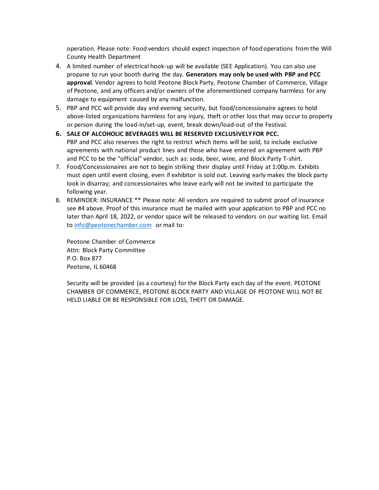operation. Please note: Food vendors should expect inspection of food operations from the Will County Health Department

- 4. A limited number of electrical hook-up will be available (SEE Application). You can also use propane to run your booth during the day. **Generators may only be used with PBP and PCC approval**. Vendor agrees to hold Peotone Block Party, Peotone Chamber of Commerce, Village of Peotone, and any officers and/or owners of the aforementioned company harmless for any damage to equipment caused by any malfunction.
- 5. PBP and PCC will provide day and evening security, but food/concessionaire agrees to hold above-listed organizations harmless for any injury, theft or other loss that may occur to property or person during the load-in/set-up, event, break down/load-out of the Festival.
- **6. SALE OF ALCOHOLIC BEVERAGES WILL BE RESERVED EXCLUSIVELY FOR PCC.** PBP and PCC also reserves the right to restrict which items will be sold, to include exclusive agreements with national product lines and those who have entered an agreement with PBP and PCC to be the "official" vendor, such as: soda, beer, wine, and Block Party T-shirt.
- 7. Food/Concessionaires are not to begin striking their display until Friday at 1:00p.m. Exhibits must open until event closing, even if exhibitor is sold out. Leaving early makes the block party look in disarray; and concessionaires who leave early will not be invited to participate the following year.
- 8. REMINDER: INSURANCE \*\* Please note: All vendors are required to submit proof of insurance see #4 above. Proof of this insurance must be mailed with your application to PBP and PCC no later than April 18, 2022, or vendor space will be released to vendors on our waiting list. Email to [info@peotonechamber.com](mailto:info@peotonechamber.com) or mail to:

Peotone Chamber of Commerce Attn: Block Party Committee P.O. Box 877 Peotone, IL 60468

Security will be provided (as a courtesy) for the Block Party each day of the event. PEOTONE CHAMBER OF COMMERCE, PEOTONE BLOCK PARTY AND VILLAGE OF PEOTONE WILL NOT BE HELD LIABLE OR BE RESPONSIBLE FOR LOSS, THEFT OR DAMAGE.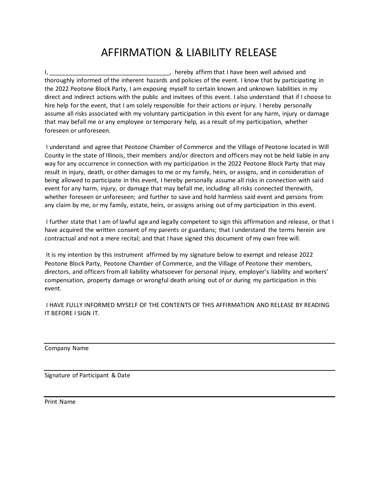# AFFIRMATION & LIABILITY RELEASE

I, \_\_\_\_\_\_\_\_\_\_\_\_\_\_\_\_\_\_\_\_\_\_\_\_\_\_\_\_\_\_\_\_\_\_\_\_, hereby affirm that I have been well advised and thoroughly informed of the inherent hazards and policies of the event. I know that by participating in the 2022 Peotone Block Party, I am exposing myself to certain known and unknown liabilities in my direct and indirect actions with the public and invitees of this event. I also understand that if I choose to hire help for the event, that I am solely responsible for their actions or injury. I hereby personally assume all risks associated with my voluntary participation in this event for any harm, injury or damage that may befall me or any employee or temporary help, as a result of my participation, whether foreseen or unforeseen.

I understand and agree that Peotone Chamber of Commerce and the Village of Peotone located in Will County in the state of Illinois, their members and/or directors and officers may not be held liable in any way for any occurrence in connection with my participation in the 2022 Peotone Block Party that may result in injury, death, or other damages to me or my family, heirs, or assigns, and in consideration of being allowed to participate in this event, I hereby personally assume all risks in connection with said event for any harm, injury, or damage that may befall me, including all risks connected therewith, whether foreseen or unforeseen; and further to save and hold harmless said event and persons from any claim by me, or my family, estate, heirs, or assigns arising out of my participation in this event.

I further state that I am of lawful age and legally competent to sign this affirmation and release, or that I have acquired the written consent of my parents or guardians; that I understand the terms herein are contractual and not a mere recital; and that I have signed this document of my own free will.

It is my intention by this instrument affirmed by my signature below to exempt and release 2022 Peotone Block Party, Peotone Chamber of Commerce, and the Village of Peotone their members, directors, and officers from all liability whatsoever for personal injury, employer's liability and workers' compensation, property damage or wrongful death arising out of or during my participation in this event.

I HAVE FULLY INFORMED MYSELF OF THE CONTENTS OF THIS AFFIRMATION AND RELEASE BY READING IT BEFORE I SIGN IT.

Company Name

Signature of Participant & Date

Print Name